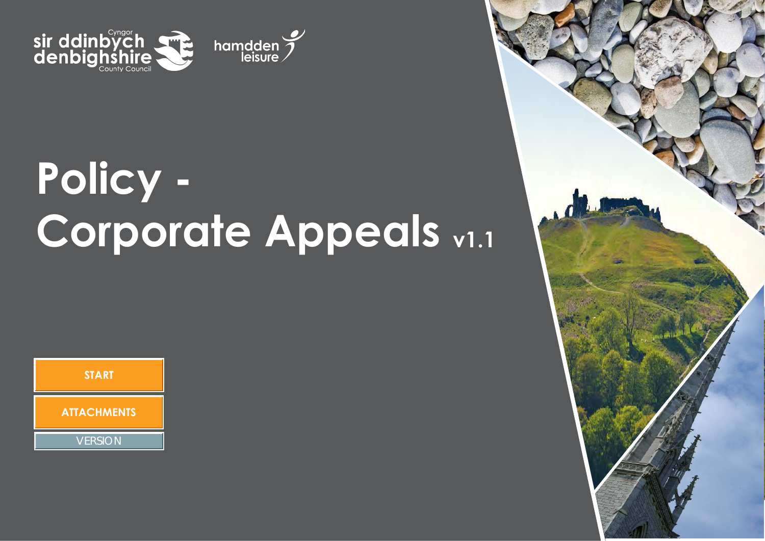

# **Policy - Corporate Appeals <sup>v</sup>1.<sup>1</sup>**

hamdden $\sum_{\text{leisure}}$ 

**START ATTACHMENTS**

**VERSION** 

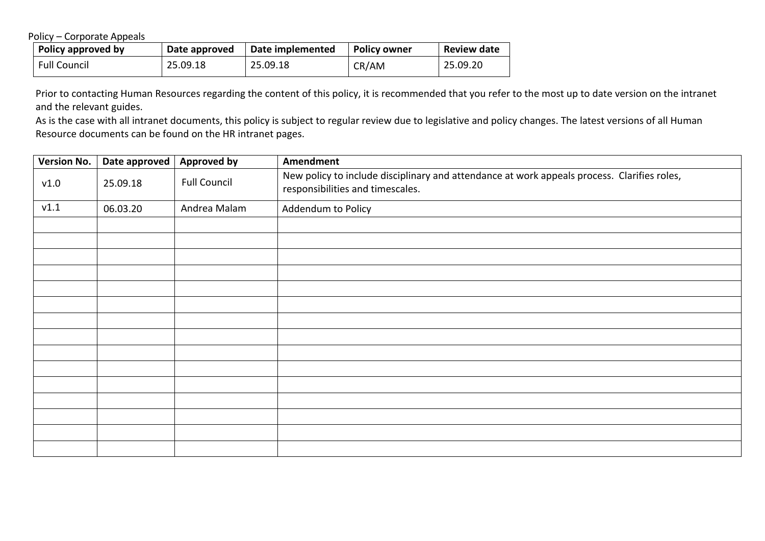Policy – Corporate Appeals

| Policy approved by  | Date approved | Date implemented | <b>Policy owner</b> | <b>Review date</b> |
|---------------------|---------------|------------------|---------------------|--------------------|
| <b>Full Council</b> | 25.09.18      | 25.09.18         | CR/AM               | 25.09.20           |

Prior to contacting Human Resources regarding the content of this policy, it is recommended that you refer to the most up to date version on the intranet and the relevant guides.

As is the case with all intranet documents, this policy is subject to regular review due to legislative and policy changes. The latest versions of all Human Resource documents can be found on the HR intranet pages.

| <b>Version No.</b> | Date approved | <b>Approved by</b>  | Amendment                                                                                                                       |
|--------------------|---------------|---------------------|---------------------------------------------------------------------------------------------------------------------------------|
| v1.0               | 25.09.18      | <b>Full Council</b> | New policy to include disciplinary and attendance at work appeals process. Clarifies roles,<br>responsibilities and timescales. |
| V1.1               | 06.03.20      | Andrea Malam        | Addendum to Policy                                                                                                              |
|                    |               |                     |                                                                                                                                 |
|                    |               |                     |                                                                                                                                 |
|                    |               |                     |                                                                                                                                 |
|                    |               |                     |                                                                                                                                 |
|                    |               |                     |                                                                                                                                 |
|                    |               |                     |                                                                                                                                 |
|                    |               |                     |                                                                                                                                 |
|                    |               |                     |                                                                                                                                 |
|                    |               |                     |                                                                                                                                 |
|                    |               |                     |                                                                                                                                 |
|                    |               |                     |                                                                                                                                 |
|                    |               |                     |                                                                                                                                 |
|                    |               |                     |                                                                                                                                 |
|                    |               |                     |                                                                                                                                 |
|                    |               |                     |                                                                                                                                 |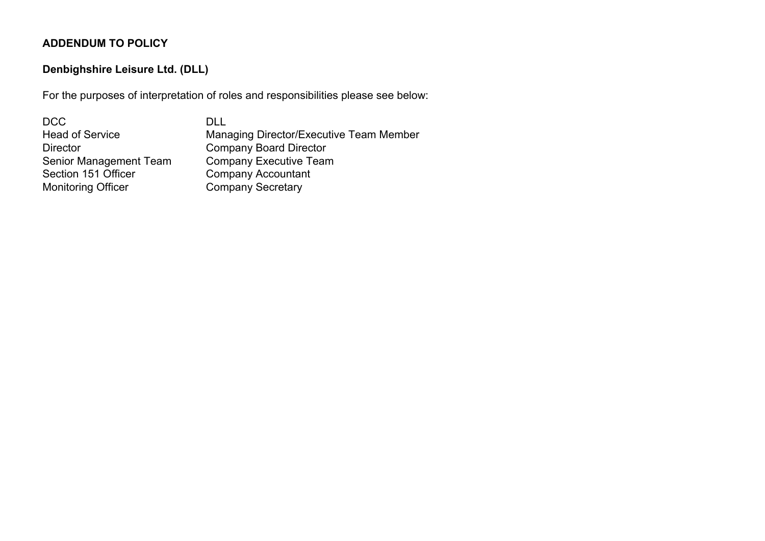## **ADDENDUM TO POLICY**

## **Denbighshire Leisure Ltd. (DLL)**

For the purposes of interpretation of roles and responsibilities please see below:

| DCC                       | DI L                                    |
|---------------------------|-----------------------------------------|
| <b>Head of Service</b>    | Managing Director/Executive Team Member |
| <b>Director</b>           | <b>Company Board Director</b>           |
| Senior Management Team    | <b>Company Executive Team</b>           |
| Section 151 Officer       | <b>Company Accountant</b>               |
| <b>Monitoring Officer</b> | <b>Company Secretary</b>                |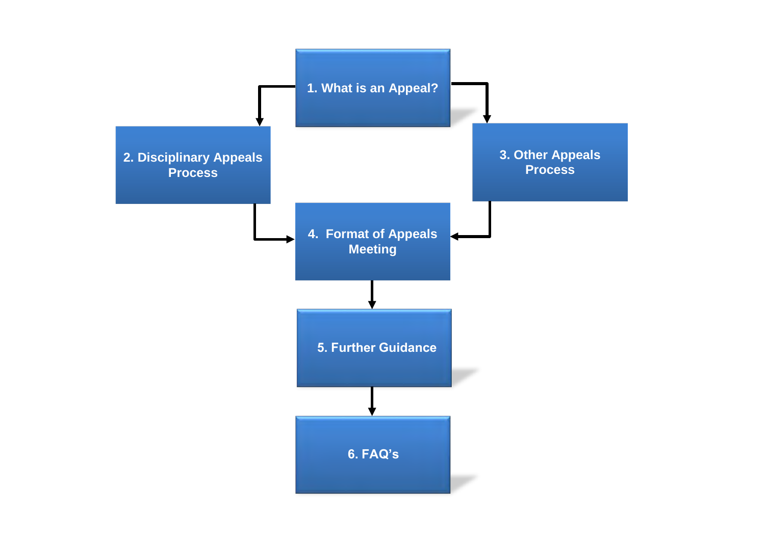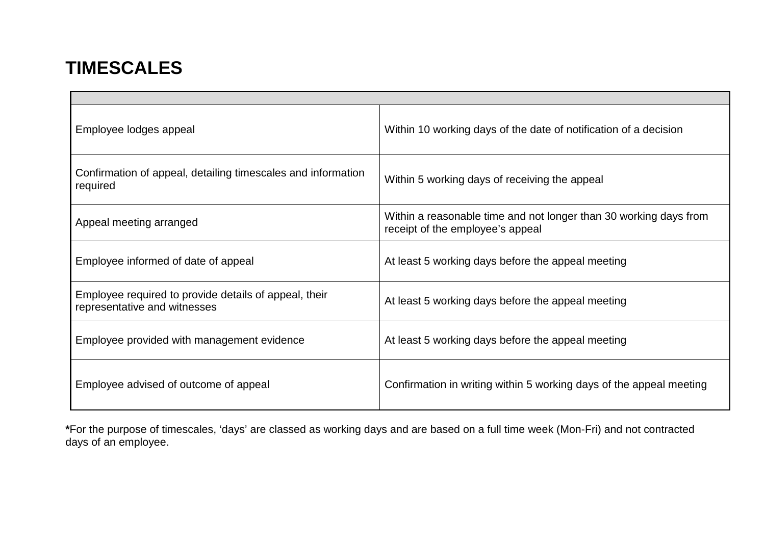# <span id="page-4-0"></span>**TIMESCALES**

| Employee lodges appeal                                                                | Within 10 working days of the date of notification of a decision                                      |
|---------------------------------------------------------------------------------------|-------------------------------------------------------------------------------------------------------|
| Confirmation of appeal, detailing timescales and information<br>required              | Within 5 working days of receiving the appeal                                                         |
| Appeal meeting arranged                                                               | Within a reasonable time and not longer than 30 working days from<br>receipt of the employee's appeal |
| Employee informed of date of appeal                                                   | At least 5 working days before the appeal meeting                                                     |
| Employee required to provide details of appeal, their<br>representative and witnesses | At least 5 working days before the appeal meeting                                                     |
| Employee provided with management evidence                                            | At least 5 working days before the appeal meeting                                                     |
| Employee advised of outcome of appeal                                                 | Confirmation in writing within 5 working days of the appeal meeting                                   |

**\***For the purpose of timescales, 'days' are classed as working days and are based on a full time week (Mon-Fri) and not contracted days of an employee.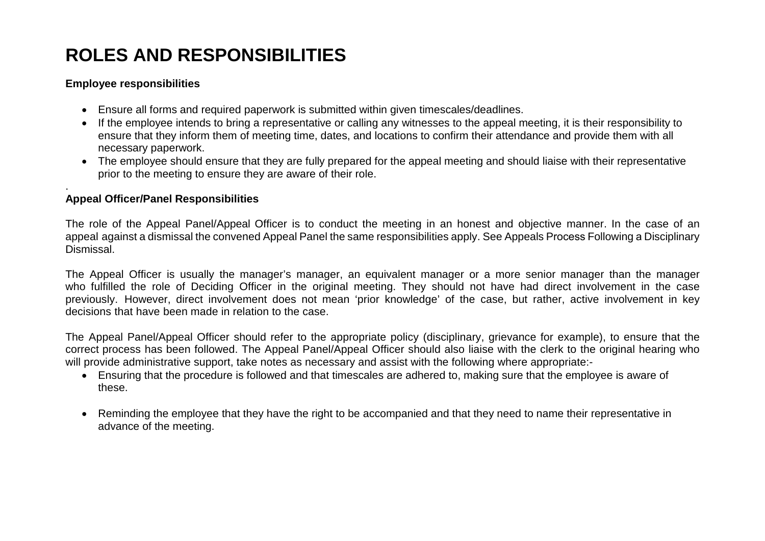# **ROLES AND RESPONSIBILITIES**

#### **Employee responsibilities**

- Ensure all forms and required paperwork is submitted within given timescales/deadlines.
- If the employee intends to bring a representative or calling any witnesses to the appeal meeting, it is their responsibility to ensure that they inform them of meeting time, dates, and locations to confirm their attendance and provide them with all necessary paperwork.
- The employee should ensure that they are fully prepared for the appeal meeting and should liaise with their representative prior to the meeting to ensure they are aware of their role.

#### . **Appeal Officer/Panel Responsibilities**

The role of the Appeal Panel/Appeal Officer is to conduct the meeting in an honest and objective manner. In the case of an appeal against a dismissal the convened Appeal Panel the same responsibilities ap[ply. See Appeals P](#page-9-0)rocess Following a Disciplinary Dismissal.

The Appeal Officer is usually the manager's manager, an equivalent manager or a more senior manager than the manager who fulfilled the role of Deciding Officer in the original meeting. They should not have had direct involvement in the case previously. However, direct involvement does not mean 'prior knowledge' of the case, but rather, active involvement in key decisions that have been made in relation to the case.

The Appeal Panel/Appeal Officer should refer to the appropriate policy (disciplinary, grievance for example), to ensure that the correct process has been followed. The Appeal Panel/Appeal Officer should also liaise with the clerk to the original hearing who will provide administrative support, take notes as necessary and assist with the following where appropriate:-

- Ensuring that the procedure is followed and that timescales are adhered to, making sure that the employee is aware of these.
- Reminding the employee that they have the right to be accompanied and that they need to name their representative in advance of the meeting.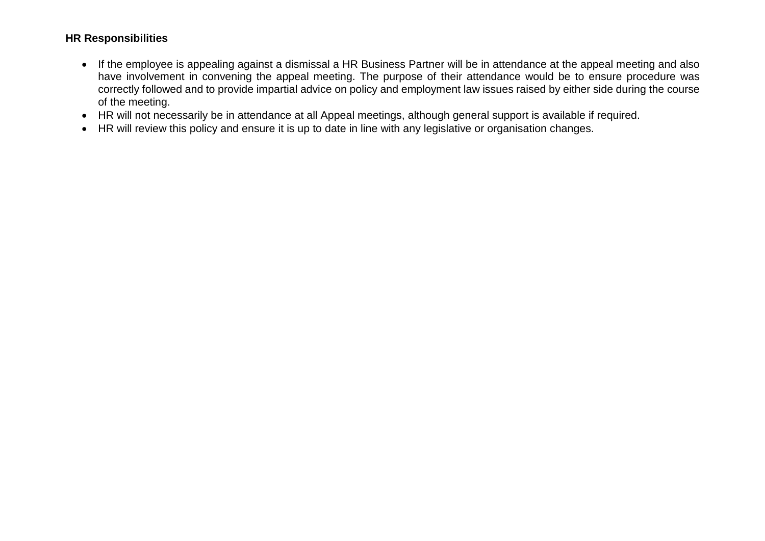#### **HR Responsibilities**

- If the employee is appealing against a dismissal a HR Business Partner will be in attendance at the appeal meeting and also have involvement in convening the appeal meeting. The purpose of their attendance would be to ensure procedure was correctly followed and to provide impartial advice on policy and employment law issues raised by either side during the course of the meeting.
- HR will not necessarily be in attendance at all Appeal meetings, although general support is available if required.
- HR will review this policy and ensure it is up to date in line with any legislative or organisation changes.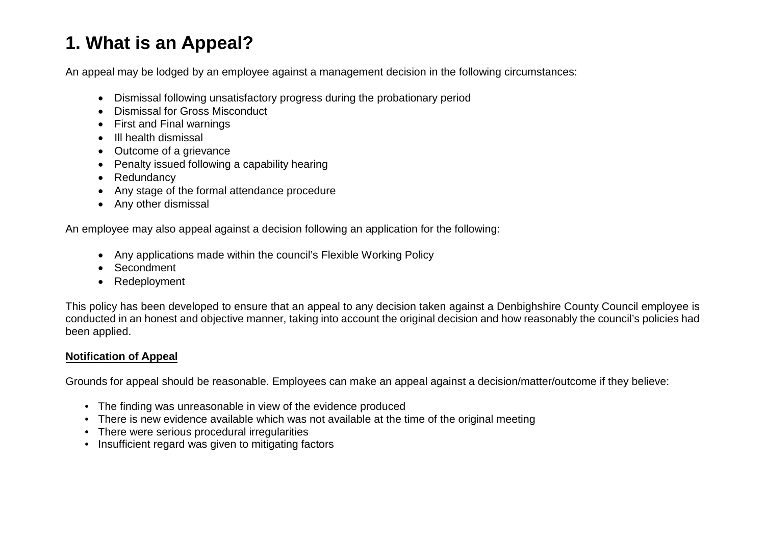## <span id="page-7-0"></span>**1. What is an Appeal?**

An appeal may be lodged by an employee against a management decision in the following circumstances:

- Dismissal following unsatisfactory progress during the probationary period
- Dismissal for Gross Misconduct
- First and Final warnings
- Ill health dismissal
- Outcome of a grievance
- Penalty issued following a capability hearing
- Redundancy
- Any stage of the formal attendance procedure
- Any other dismissal

An employee may also appeal against a decision following an application for the following:

- Any applications made within the council's Flexible Working Policy
- **Secondment**
- Redeployment

This policy has been developed to ensure that an appeal to any decision taken against a Denbighshire County Council employee is conducted in an honest and objective manner, taking into account the original decision and how reasonably the council's policies had been applied.

### **Notification of Appeal**

Grounds for appeal should be reasonable. Employees can make an appeal against a decision/matter/outcome if they believe:

- The finding was unreasonable in view of the evidence produced
- There is new evidence available which was not available at the time of the original meeting
- There were serious procedural irregularities
- Insufficient regard was given to mitigating factors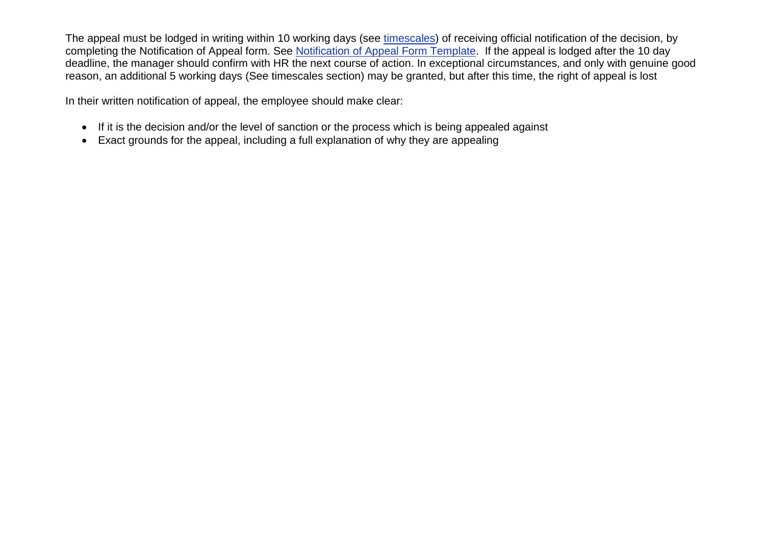The appeal must be lodged in writing within 10 working days (see [timescales\)](#page-4-0) of receiving official notification of the decision, by completing the Notification of Appeal form. See Notification of Appeal Form Template. If the appeal is lodged after the 10 day deadline, the manager should confirm with HR the next course of action. In exceptional circumstances, and only with genuine good reason, an additional 5 working days (See timescales section) may be granted, but after this time, the right of appeal is lost

In their written notification of appeal, the employee should make clear:

- If it is the decision and/or the level of sanction or the process which is being appealed against
- Exact grounds for the appeal, including a full explanation of why they are appealing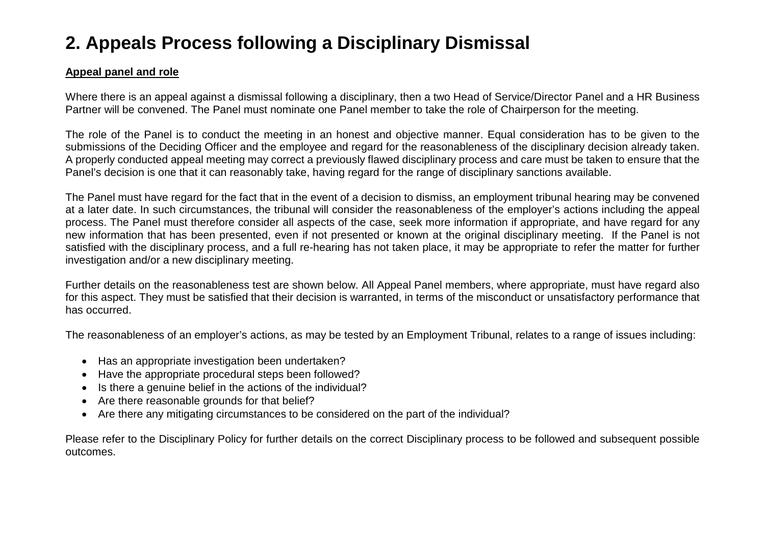# <span id="page-9-0"></span>**2. Appeals Process following a Disciplinary Dismissal**

#### **Appeal panel and role**

Where there is an appeal against a dismissal following a disciplinary, then a two Head of Service/Director Panel and a HR Business Partner will be convened. The Panel must nominate one Panel member to take the role of Chairperson for the meeting.

The role of the Panel is to conduct the meeting in an honest and objective manner. Equal consideration has to be given to the submissions of the Deciding Officer and the employee and regard for the reasonableness of the disciplinary decision already taken. A properly conducted appeal meeting may correct a previously flawed disciplinary process and care must be taken to ensure that the Panel's decision is one that it can reasonably take, having regard for the range of disciplinary sanctions available.

The Panel must have regard for the fact that in the event of a decision to dismiss, an employment tribunal hearing may be convened at a later date. In such circumstances, the tribunal will consider the reasonableness of the employer's actions including the appeal process. The Panel must therefore consider all aspects of the case, seek more information if appropriate, and have regard for any new information that has been presented, even if not presented or known at the original disciplinary meeting. If the Panel is not satisfied with the disciplinary process, and a full re-hearing has not taken place, it may be appropriate to refer the matter for further investigation and/or a new disciplinary meeting.

Further details on the reasonableness test are shown below. All Appeal Panel members, where appropriate, must have regard also for this aspect. They must be satisfied that their decision is warranted, in terms of the misconduct or unsatisfactory performance that has occurred.

The reasonableness of an employer's actions, as may be tested by an Employment Tribunal, relates to a range of issues including:

- Has an appropriate investigation been undertaken?
- Have the appropriate procedural steps been followed?
- Is there a genuine belief in the actions of the individual?
- Are there reasonable grounds for that belief?
- Are there any mitigating circumstances to be considered on the part of the individual?

Please refer to the Disciplinary Policy for further details on the correct Disciplinary process to be followed and subsequent possible outcomes.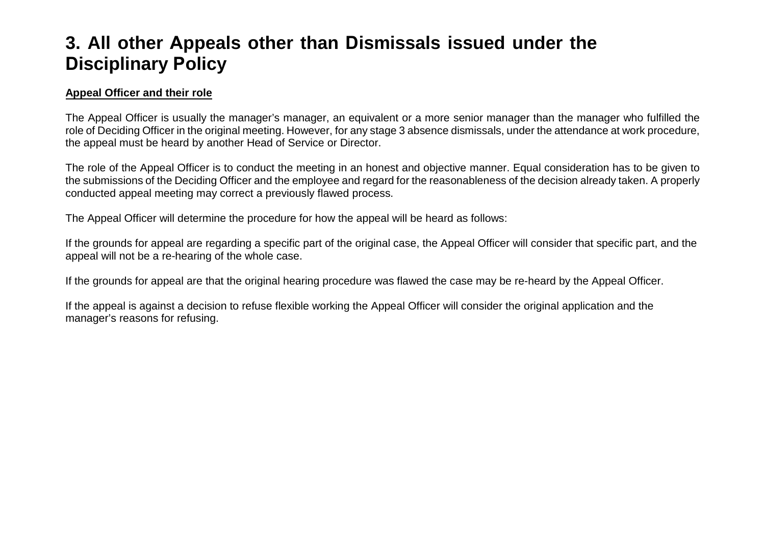## <span id="page-10-0"></span>**3. All other Appeals other than Dismissals issued under the Disciplinary Policy**

#### **Appeal Officer and their role**

The Appeal Officer is usually the manager's manager, an equivalent or a more senior manager than the manager who fulfilled the role of Deciding Officer in the original meeting. However, for any stage 3 absence dismissals, under the attendance at work procedure, the appeal must be heard by another Head of Service or Director.

The role of the Appeal Officer is to conduct the meeting in an honest and objective manner. Equal consideration has to be given to the submissions of the Deciding Officer and the employee and regard for the reasonableness of the decision already taken. A properly conducted appeal meeting may correct a previously flawed process.

The Appeal Officer will determine the procedure for how the appeal will be heard as follows:

If the grounds for appeal are regarding a specific part of the original case, the Appeal Officer will consider that specific part, and the appeal will not be a re-hearing of the whole case.

If the grounds for appeal are that the original hearing procedure was flawed the case may be re-heard by the Appeal Officer.

If the appeal is against a decision to refuse flexible working the Appeal Officer will consider the original application and the manager's reasons for refusing.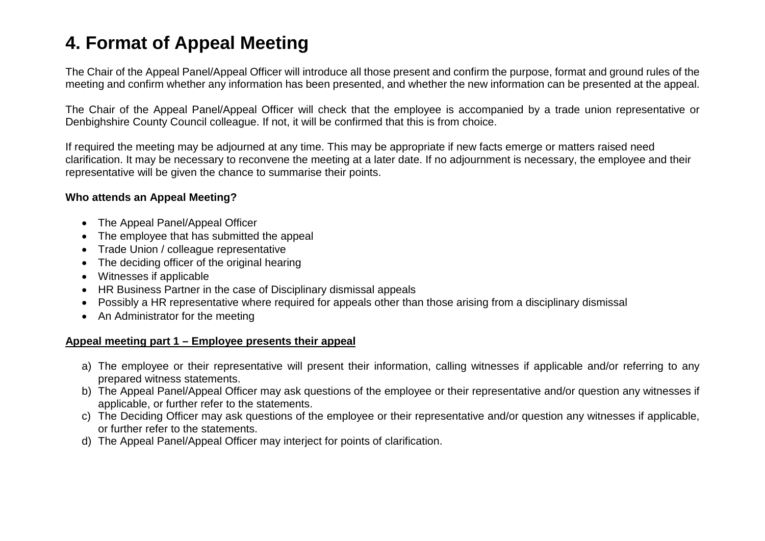## <span id="page-11-0"></span>**4. Format of Appeal Meeting**

The Chair of the Appeal Panel/Appeal Officer will introduce all those present and confirm the purpose, format and ground rules of the meeting and confirm whether any information has been presented, and whether the new information can be presented at the appeal.

The Chair of the Appeal Panel/Appeal Officer will check that the employee is accompanied by a trade union representative or Denbighshire County Council colleague. If not, it will be confirmed that this is from choice.

If required the meeting may be adjourned at any time. This may be appropriate if new facts emerge or matters raised need clarification. It may be necessary to reconvene the meeting at a later date. If no adjournment is necessary, the employee and their representative will be given the chance to summarise their points.

#### **Who attends an Appeal Meeting?**

- The Appeal Panel/Appeal Officer
- The employee that has submitted the appeal
- Trade Union / colleague representative
- The deciding officer of the original hearing
- Witnesses if applicable
- HR Business Partner in the case of Disciplinary dismissal appeals
- Possibly a HR representative where required for appeals other than those arising from a disciplinary dismissal
- An Administrator for the meeting

#### **Appeal meeting part 1 – Employee presents their appeal**

- a) The employee or their representative will present their information, calling witnesses if applicable and/or referring to any prepared witness statements.
- b) The Appeal Panel/Appeal Officer may ask questions of the employee or their representative and/or question any witnesses if applicable, or further refer to the statements.
- c) The Deciding Officer may ask questions of the employee or their representative and/or question any witnesses if applicable, or further refer to the statements.
- d) The Appeal Panel/Appeal Officer may interject for points of clarification.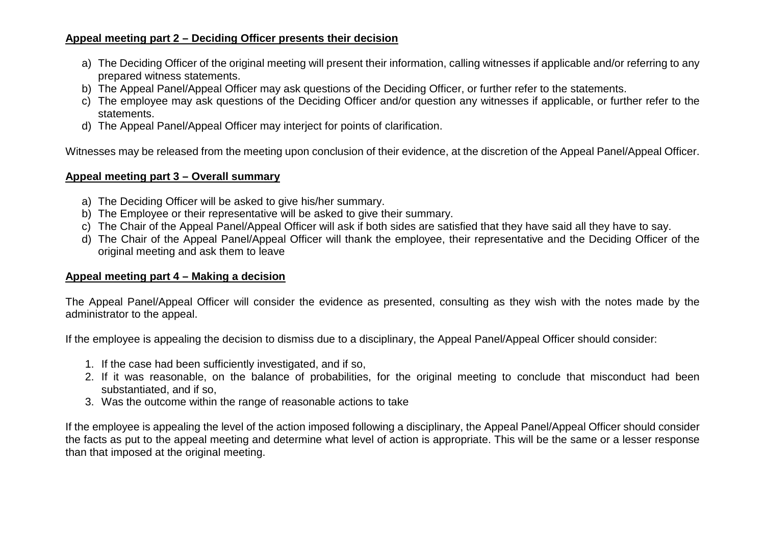#### **Appeal meeting part 2 – Deciding Officer presents their decision**

- a) The Deciding Officer of the original meeting will present their information, calling witnesses if applicable and/or referring to any prepared witness statements.
- b) The Appeal Panel/Appeal Officer may ask questions of the Deciding Officer, or further refer to the statements.
- c) The employee may ask questions of the Deciding Officer and/or question any witnesses if applicable, or further refer to the statements.
- d) The Appeal Panel/Appeal Officer may interject for points of clarification.

Witnesses may be released from the meeting upon conclusion of their evidence, at the discretion of the Appeal Panel/Appeal Officer.

#### **Appeal meeting part 3 – Overall summary**

- a) The Deciding Officer will be asked to give his/her summary.
- b) The Employee or their representative will be asked to give their summary.
- c) The Chair of the Appeal Panel/Appeal Officer will ask if both sides are satisfied that they have said all they have to say.
- d) The Chair of the Appeal Panel/Appeal Officer will thank the employee, their representative and the Deciding Officer of the original meeting and ask them to leave

#### **Appeal meeting part 4 – Making a decision**

The Appeal Panel/Appeal Officer will consider the evidence as presented, consulting as they wish with the notes made by the administrator to the appeal.

If the employee is appealing the decision to dismiss due to a disciplinary, the Appeal Panel/Appeal Officer should consider:

- 1. If the case had been sufficiently investigated, and if so,
- 2. If it was reasonable, on the balance of probabilities, for the original meeting to conclude that misconduct had been substantiated, and if so,
- 3. Was the outcome within the range of reasonable actions to take

If the employee is appealing the level of the action imposed following a disciplinary, the Appeal Panel/Appeal Officer should consider the facts as put to the appeal meeting and determine what level of action is appropriate. This will be the same or a lesser response than that imposed at the original meeting.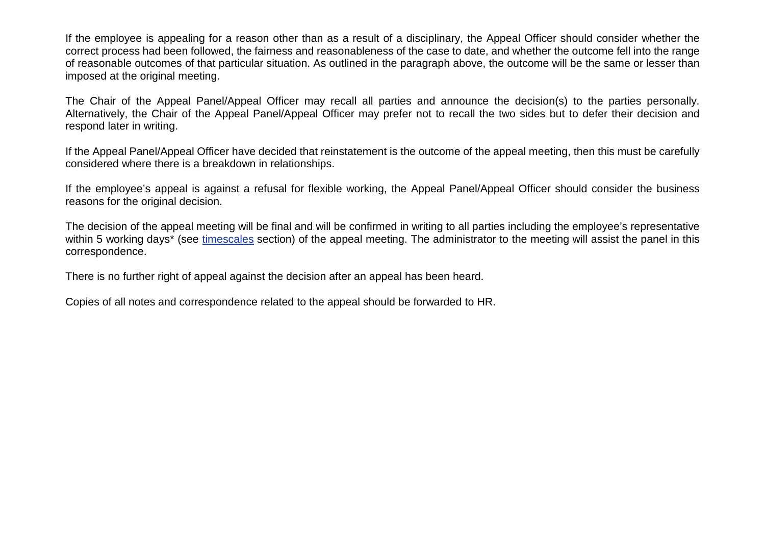If the employee is appealing for a reason other than as a result of a disciplinary, the Appeal Officer should consider whether the correct process had been followed, the fairness and reasonableness of the case to date, and whether the outcome fell into the range of reasonable outcomes of that particular situation. As outlined in the paragraph above, the outcome will be the same or lesser than imposed at the original meeting.

The Chair of the Appeal Panel/Appeal Officer may recall all parties and announce the decision(s) to the parties personally. Alternatively, the Chair of the Appeal Panel/Appeal Officer may prefer not to recall the two sides but to defer their decision and respond later in writing.

If the Appeal Panel/Appeal Officer have decided that reinstatement is the outcome of the appeal meeting, then this must be carefully considered where there is a breakdown in relationships.

If the employee's appeal is against a refusal for flexible working, the Appeal Panel/Appeal Officer should consider the business reasons for the original decision.

The decision of the appeal meeting will be final and will be confirmed in writing to all parties including the employee's representative within 5 working days<sup>\*</sup> (see [timescales](#page-4-0) section) of the appeal meeting. The administrator to the meeting will assist the panel in this correspondence.

There is no further right of appeal against the decision after an appeal has been heard.

Copies of all notes and correspondence related to the appeal should be forwarded to HR.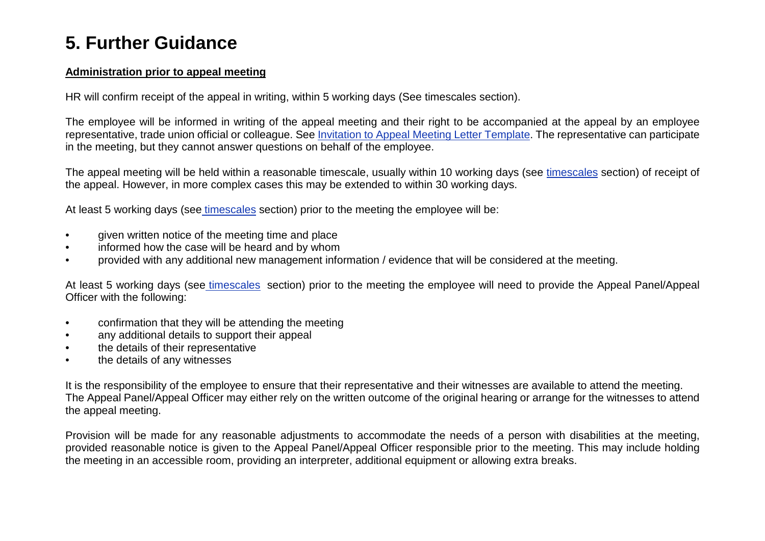## <span id="page-14-0"></span>**5. Further Guidance**

#### **Administration prior to appeal meeting**

HR will confirm receipt of the appeal in writing, within 5 working days (See timescales section).

The employee will be informed in writing of the appeal meeting and their right to be accompanied at the appeal by an employee representative, trade union official or colleague. See Invitation to Appeal Meeting Letter Template. The representative can participate in the meeting, but they cannot answer questions on behalf of the employee.

The appeal meeting will be held within a reasonable timescale, usually within 10 working days (see [timescales](#page-4-0) section) of receipt of the appeal. However, in more complex cases this may be extended to within 30 working days.

At least 5 working days (see [timescales](#page-4-0) section) prior to the meeting the employee will be:

- given written notice of the meeting time and place
- informed how the case will be heard and by whom
- provided with any additional new management information / evidence that will be considered at the meeting.

At least 5 working days (see [timescales](#page-4-0) section) prior to the meeting the employee will need to provide the Appeal Panel/Appeal Officer with the following:

- confirmation that they will be attending the meeting
- any additional details to support their appeal
- the details of their representative
- the details of any witnesses

It is the responsibility of the employee to ensure that their representative and their witnesses are available to attend the meeting. The Appeal Panel/Appeal Officer may either rely on the written outcome of the original hearing or arrange for the witnesses to attend the appeal meeting.

Provision will be made for any reasonable adjustments to accommodate the needs of a person with disabilities at the meeting, provided reasonable notice is given to the Appeal Panel/Appeal Officer responsible prior to the meeting. This may include holding the meeting in an accessible room, providing an interpreter, additional equipment or allowing extra breaks.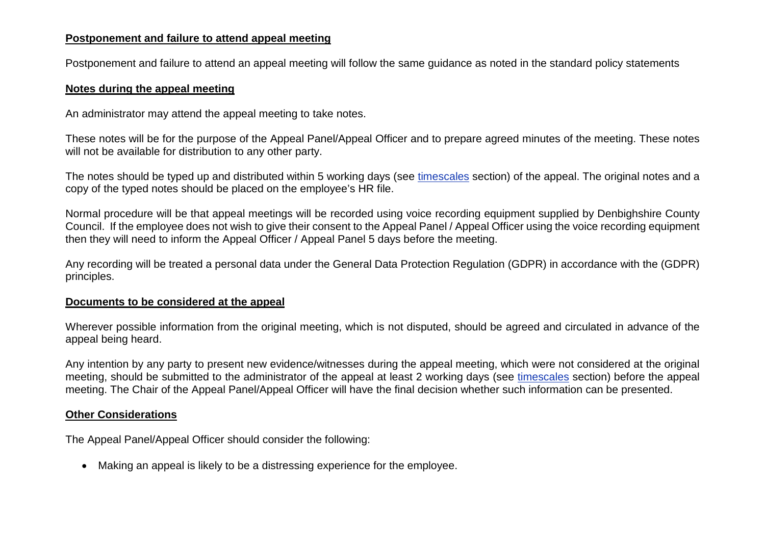#### **Postponement and failure to attend appeal meeting**

Postponement and failure to attend an appeal meeting will follow the same guidance as noted in the standard policy statements

#### **Notes during the appeal meeting**

An administrator may attend the appeal meeting to take notes.

These notes will be for the purpose of the Appeal Panel/Appeal Officer and to prepare agreed minutes of the meeting. These notes will not be available for distribution to any other party.

The notes should be typed up and distributed within 5 working days (see [timescales](#page-4-0) section) of the appeal. The original notes and a copy of the typed notes should be placed on the employee's HR file.

Normal procedure will be that appeal meetings will be recorded using voice recording equipment supplied by Denbighshire County Council. If the employee does not wish to give their consent to the Appeal Panel / Appeal Officer using the voice recording equipment then they will need to inform the Appeal Officer / Appeal Panel 5 days before the meeting.

Any recording will be treated a personal data under the General Data Protection Regulation (GDPR) in accordance with the (GDPR) principles.

#### **Documents to be considered at the appeal**

Wherever possible information from the original meeting, which is not disputed, should be agreed and circulated in advance of the appeal being heard.

Any intention by any party to present new evidence/witnesses during the appeal meeting, which were not considered at the original meeting, should be submitted to the administrator of the appeal at least 2 working days (see [timescales](#page-4-0) section) before the appeal meeting. The Chair of the Appeal Panel/Appeal Officer will have the final decision whether such information can be presented.

#### **Other Considerations**

The Appeal Panel/Appeal Officer should consider the following:

• Making an appeal is likely to be a distressing experience for the employee.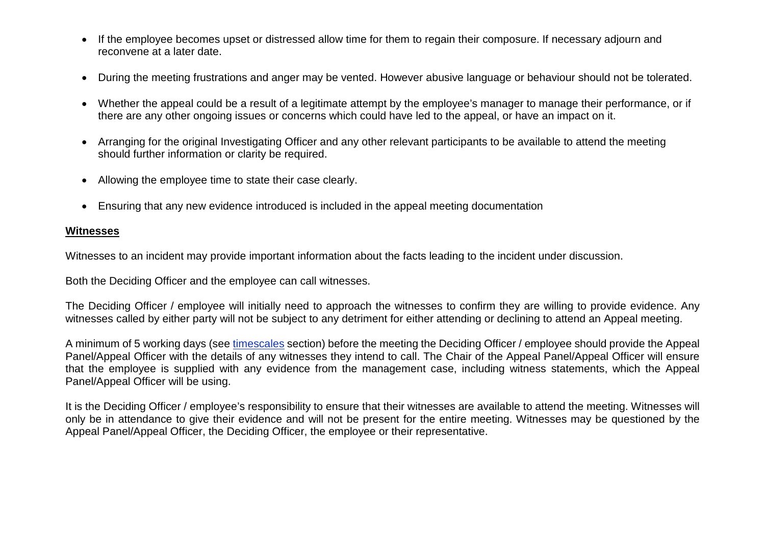- If the employee becomes upset or distressed allow time for them to regain their composure. If necessary adjourn and reconvene at a later date.
- During the meeting frustrations and anger may be vented. However abusive language or behaviour should not be tolerated.
- Whether the appeal could be a result of a legitimate attempt by the employee's manager to manage their performance, or if there are any other ongoing issues or concerns which could have led to the appeal, or have an impact on it.
- Arranging for the original Investigating Officer and any other relevant participants to be available to attend the meeting should further information or clarity be required.
- Allowing the employee time to state their case clearly.
- Ensuring that any new evidence introduced is included in the appeal meeting documentation

#### **Witnesses**

Witnesses to an incident may provide important information about the facts leading to the incident under discussion.

Both the Deciding Officer and the employee can call witnesses.

The Deciding Officer / employee will initially need to approach the witnesses to confirm they are willing to provide evidence. Any witnesses called by either party will not be subject to any detriment for either attending or declining to attend an Appeal meeting.

A minimum of 5 working days (see [timescales](#page-4-0) section) before the meeting the Deciding Officer / employee should provide the Appeal Panel/Appeal Officer with the details of any witnesses they intend to call. The Chair of the Appeal Panel/Appeal Officer will ensure that the employee is supplied with any evidence from the management case, including witness statements, which the Appeal Panel/Appeal Officer will be using.

It is the Deciding Officer / employee's responsibility to ensure that their witnesses are available to attend the meeting. Witnesses will only be in attendance to give their evidence and will not be present for the entire meeting. Witnesses may be questioned by the Appeal Panel/Appeal Officer, the Deciding Officer, the employee or their representative.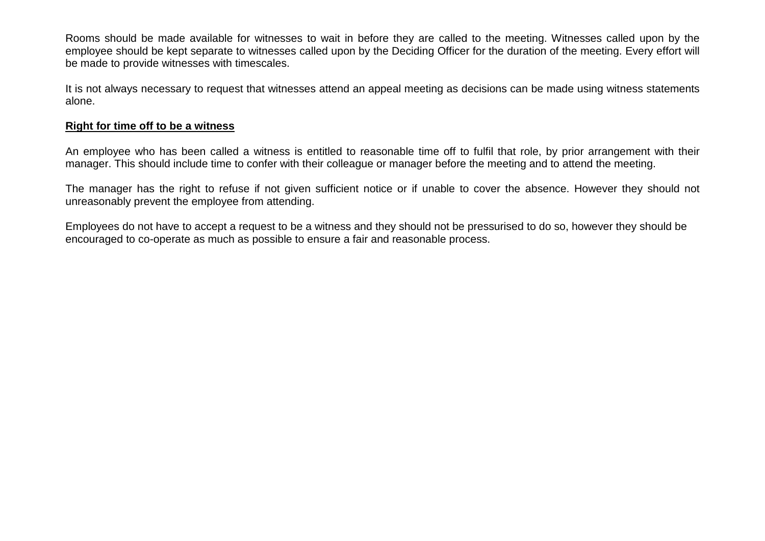Rooms should be made available for witnesses to wait in before they are called to the meeting. Witnesses called upon by the employee should be kept separate to witnesses called upon by the Deciding Officer for the duration of the meeting. Every effort will be made to provide witnesses with timescales.

It is not always necessary to request that witnesses attend an appeal meeting as decisions can be made using witness statements alone.

#### **Right for time off to be a witness**

An employee who has been called a witness is entitled to reasonable time off to fulfil that role, by prior arrangement with their manager. This should include time to confer with their colleague or manager before the meeting and to attend the meeting.

The manager has the right to refuse if not given sufficient notice or if unable to cover the absence. However they should not unreasonably prevent the employee from attending.

<span id="page-17-0"></span>Employees do not have to accept a request to be a witness and they should not be pressurised to do so, however they should be encouraged to co-operate as much as possible to ensure a fair and reasonable process.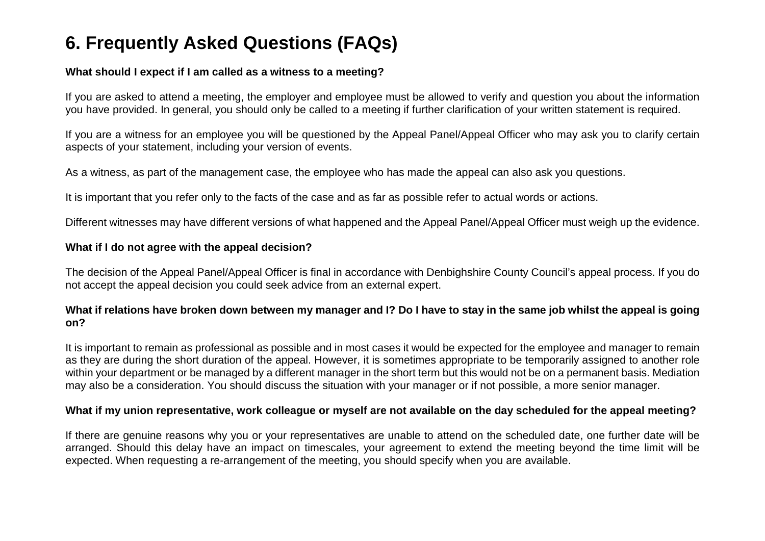## **6. Frequently Asked Questions (FAQs)**

#### **What should I expect if I am called as a witness to a meeting?**

If you are asked to attend a meeting, the employer and employee must be allowed to verify and question you about the information you have provided. In general, you should only be called to a meeting if further clarification of your written statement is required.

If you are a witness for an employee you will be questioned by the Appeal Panel/Appeal Officer who may ask you to clarify certain aspects of your statement, including your version of events.

As a witness, as part of the management case, the employee who has made the appeal can also ask you questions.

It is important that you refer only to the facts of the case and as far as possible refer to actual words or actions.

Different witnesses may have different versions of what happened and the Appeal Panel/Appeal Officer must weigh up the evidence.

#### **What if I do not agree with the appeal decision?**

The decision of the Appeal Panel/Appeal Officer is final in accordance with Denbighshire County Council's appeal process. If you do not accept the appeal decision you could seek advice from an external expert.

#### **What if relations have broken down between my manager and I? Do I have to stay in the same job whilst the appeal is going on?**

It is important to remain as professional as possible and in most cases it would be expected for the employee and manager to remain as they are during the short duration of the appeal. However, it is sometimes appropriate to be temporarily assigned to another role within your department or be managed by a different manager in the short term but this would not be on a permanent basis. Mediation may also be a consideration. You should discuss the situation with your manager or if not possible, a more senior manager.

#### **What if my union representative, work colleague or myself are not available on the day scheduled for the appeal meeting?**

If there are genuine reasons why you or your representatives are unable to attend on the scheduled date, one further date will be arranged. Should this delay have an impact on timescales, your agreement to extend the meeting beyond the time limit will be expected. When requesting a re-arrangement of the meeting, you should specify when you are available.